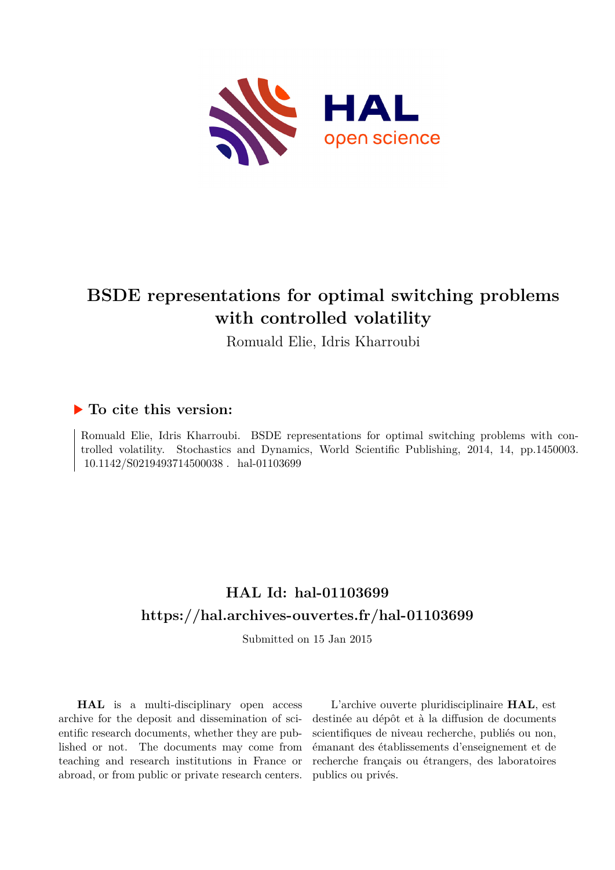

# **BSDE representations for optimal switching problems with controlled volatility**

Romuald Elie, Idris Kharroubi

# **To cite this version:**

Romuald Elie, Idris Kharroubi. BSDE representations for optimal switching problems with controlled volatility. Stochastics and Dynamics, World Scientific Publishing, 2014, 14, pp.1450003.  $10.1142/S0219493714500038$ . hal-01103699

# **HAL Id: hal-01103699 <https://hal.archives-ouvertes.fr/hal-01103699>**

Submitted on 15 Jan 2015

**HAL** is a multi-disciplinary open access archive for the deposit and dissemination of scientific research documents, whether they are published or not. The documents may come from teaching and research institutions in France or abroad, or from public or private research centers.

L'archive ouverte pluridisciplinaire **HAL**, est destinée au dépôt et à la diffusion de documents scientifiques de niveau recherche, publiés ou non, émanant des établissements d'enseignement et de recherche français ou étrangers, des laboratoires publics ou privés.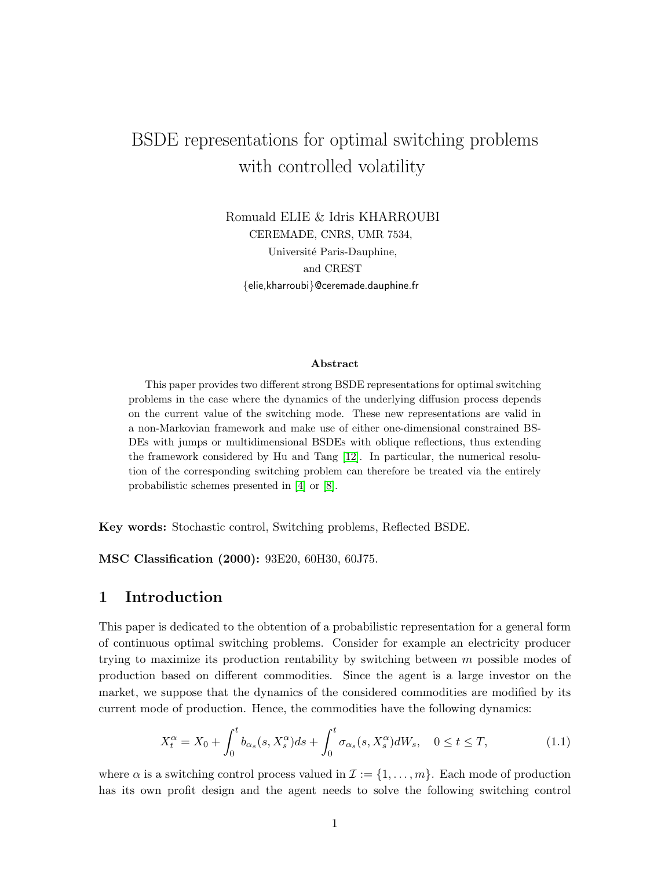# BSDE representations for optimal switching problems with controlled volatility

Romuald ELIE & Idris KHARROUBI CEREMADE, CNRS, UMR 7534, Université Paris-Dauphine, and CREST {elie,kharroubi}@ceremade.dauphine.fr

#### Abstract

This paper provides two different strong BSDE representations for optimal switching problems in the case where the dynamics of the underlying diffusion process depends on the current value of the switching mode. These new representations are valid in a non-Markovian framework and make use of either one-dimensional constrained BS-DEs with jumps or multidimensional BSDEs with oblique reflections, thus extending the framework considered by Hu and Tang [12]. In particular, the numerical resolution of the corresponding switching problem can therefore be treated via the entirely probabilistic schemes presented in [4] or [8].

Key words: Stochastic control, Switching problems, Reflected BSDE.

MSC Classification (2000): 93E20, 60H30, 60J75.

## 1 Introduction

This paper is dedicated to the obtention of a probabilistic representation for a general form of continuous optimal switching problems. Consider for example an electricity producer trying to maximize its production rentability by switching between m possible modes of production based on different commodities. Since the agent is a large investor on the market, we suppose that the dynamics of the considered commodities are modified by its current mode of production. Hence, the commodities have the following dynamics:

$$
X_t^{\alpha} = X_0 + \int_0^t b_{\alpha_s}(s, X_s^{\alpha}) ds + \int_0^t \sigma_{\alpha_s}(s, X_s^{\alpha}) dW_s, \quad 0 \le t \le T,
$$
\n(1.1)

where  $\alpha$  is a switching control process valued in  $\mathcal{I} := \{1, \ldots, m\}$ . Each mode of production has its own profit design and the agent needs to solve the following switching control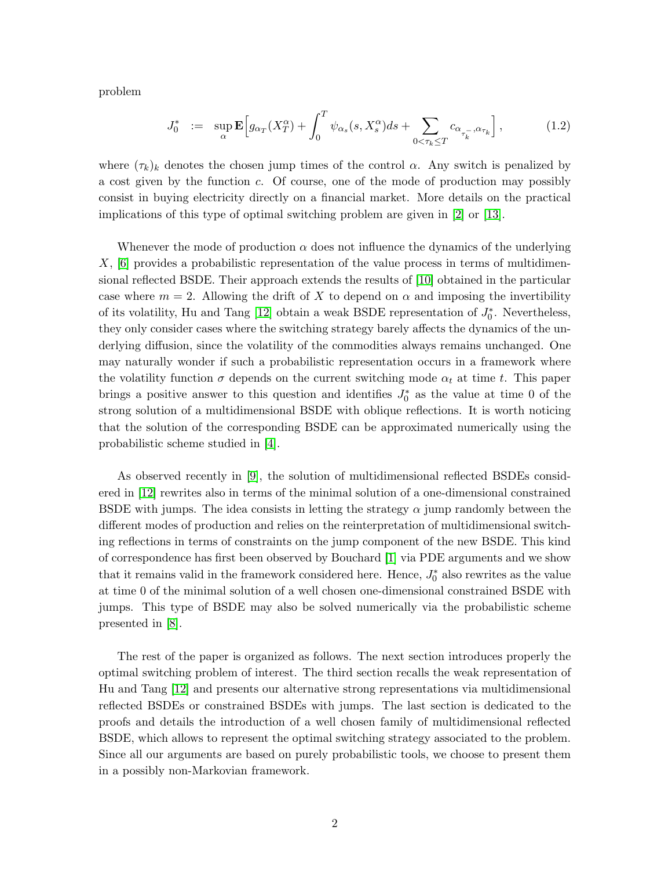problem

$$
J_0^* := \sup_{\alpha} \mathbf{E} \Big[ g_{\alpha_T}(X_T^{\alpha}) + \int_0^T \psi_{\alpha_s}(s, X_s^{\alpha}) ds + \sum_{0 < \tau_k \le T} c_{\alpha_{\tau_k^{-}}, \alpha_{\tau_k}} \Big],\tag{1.2}
$$

where  $(\tau_k)_k$  denotes the chosen jump times of the control  $\alpha$ . Any switch is penalized by a cost given by the function c. Of course, one of the mode of production may possibly consist in buying electricity directly on a financial market. More details on the practical implications of this type of optimal switching problem are given in [2] or [13].

Whenever the mode of production  $\alpha$  does not influence the dynamics of the underlying  $X$ ,  $[6]$  provides a probabilistic representation of the value process in terms of multidimensional reflected BSDE. Their approach extends the results of [10] obtained in the particular case where  $m = 2$ . Allowing the drift of X to depend on  $\alpha$  and imposing the invertibility of its volatility, Hu and Tang [12] obtain a weak BSDE representation of  $J_0^*$ . Nevertheless, they only consider cases where the switching strategy barely affects the dynamics of the underlying diffusion, since the volatility of the commodities always remains unchanged. One may naturally wonder if such a probabilistic representation occurs in a framework where the volatility function  $\sigma$  depends on the current switching mode  $\alpha_t$  at time t. This paper brings a positive answer to this question and identifies  $J_0^*$  as the value at time 0 of the strong solution of a multidimensional BSDE with oblique reflections. It is worth noticing that the solution of the corresponding BSDE can be approximated numerically using the probabilistic scheme studied in [4].

As observed recently in [9], the solution of multidimensional reflected BSDEs considered in [12] rewrites also in terms of the minimal solution of a one-dimensional constrained BSDE with jumps. The idea consists in letting the strategy  $\alpha$  jump randomly between the different modes of production and relies on the reinterpretation of multidimensional switching reflections in terms of constraints on the jump component of the new BSDE. This kind of correspondence has first been observed by Bouchard [1] via PDE arguments and we show that it remains valid in the framework considered here. Hence,  $J_0^*$  also rewrites as the value at time 0 of the minimal solution of a well chosen one-dimensional constrained BSDE with jumps. This type of BSDE may also be solved numerically via the probabilistic scheme presented in [8].

The rest of the paper is organized as follows. The next section introduces properly the optimal switching problem of interest. The third section recalls the weak representation of Hu and Tang [12] and presents our alternative strong representations via multidimensional reflected BSDEs or constrained BSDEs with jumps. The last section is dedicated to the proofs and details the introduction of a well chosen family of multidimensional reflected BSDE, which allows to represent the optimal switching strategy associated to the problem. Since all our arguments are based on purely probabilistic tools, we choose to present them in a possibly non-Markovian framework.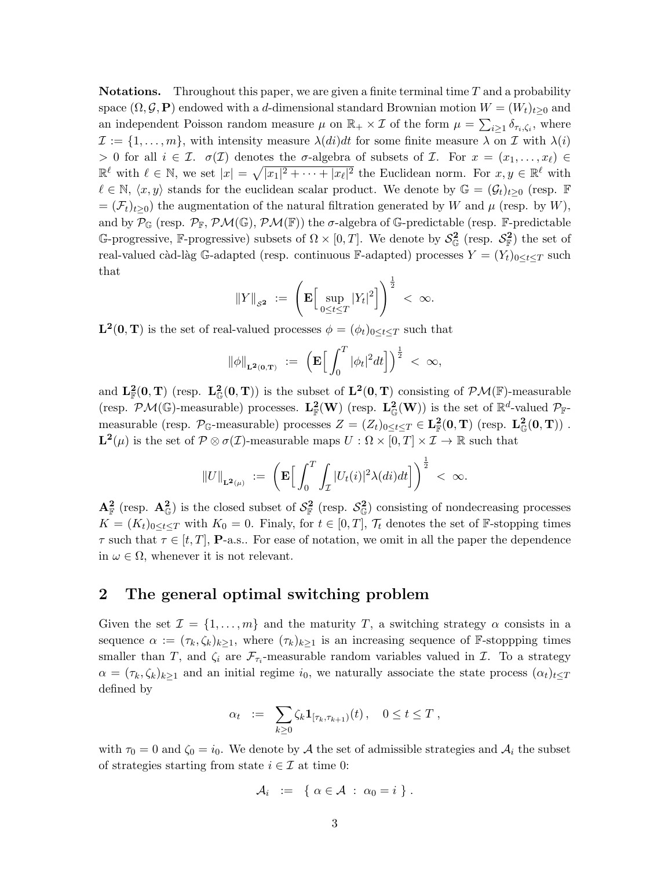**Notations.** Throughout this paper, we are given a finite terminal time  $T$  and a probability space  $(\Omega, \mathcal{G}, \mathbf{P})$  endowed with a d-dimensional standard Brownian motion  $W = (W_t)_{t>0}$  and an independent Poisson random measure  $\mu$  on  $\mathbb{R}_+ \times \mathcal{I}$  of the form  $\mu = \sum_{i \geq 1} \delta_{\tau_i, \zeta_i}$ , where  $\mathcal{I} := \{1, \ldots, m\}$ , with intensity measure  $\lambda(di)dt$  for some finite measure  $\lambda$  on  $\mathcal{I}$  with  $\lambda(i)$ > 0 for all  $i \in \mathcal{I}$ .  $\sigma(\mathcal{I})$  denotes the  $\sigma$ -algebra of subsets of  $\mathcal{I}$ . For  $x = (x_1, \ldots, x_\ell)$  $\mathbb{R}^{\ell}$  with  $\ell \in \mathbb{N}$ , we set  $|x| = \sqrt{|x_1|^2 + \cdots + |x_\ell|^2}$  the Euclidean norm. For  $x, y \in \mathbb{R}^{\ell}$  with  $\ell \in \mathbb{N}, \langle x, y \rangle$  stands for the euclidean scalar product. We denote by  $\mathbb{G} = (\mathcal{G}_t)_{t>0}$  (resp. F  $=(\mathcal{F}_t)_{t>0}$ ) the augmentation of the natural filtration generated by W and  $\mu$  (resp. by W), and by  $\mathcal{P}_{\mathbb{G}}$  (resp.  $\mathcal{P}_{\mathbb{F}}$ ,  $\mathcal{PM}(\mathbb{G})$ ,  $\mathcal{PM}(\mathbb{F})$ ) the  $\sigma$ -algebra of G-predictable (resp. F-predictable G-progressive, F-progressive) subsets of  $\Omega \times [0,T]$ . We denote by  $\mathcal{S}_{\mathbb{G}}^2$  (resp.  $\mathcal{S}_{\mathbb{F}}^2$ ) the set of real-valued càd-làg G-adapted (resp. continuous F-adapted) processes  $Y = (Y_t)_{0 \le t \le T}$  such that

$$
\left\|Y\right\|_{\mathcal{S}^{\mathbf{2}}} \; := \; \left(\mathbf{E} \Big[ \sup_{0 \leq t \leq T} |Y_t|^2 \Big] \right)^{\frac{1}{2}} \; < \; \infty.
$$

 $\mathbf{L}^2(\mathbf{0}, \mathbf{T})$  is the set of real-valued processes  $\phi = (\phi_t)_{0 \leq t \leq T}$  such that

$$
\|\phi\|_{\mathbf{L}^2(0,T)} \; := \; \left(\mathbf{E}\Big[\int_0^T |\phi_t|^2 dt\Big]\right)^{\frac{1}{2}} \; < \; \infty,
$$

and  $L^2_{\mathbb{F}}(0,T)$  (resp.  $L^2_{\mathbb{G}}(0,T)$ ) is the subset of  $L^2(0,T)$  consisting of  $\mathcal{PM}(\mathbb{F})$ -measurable (resp.  $P\mathcal{M}(\mathbb{G})$ -measurable) processes.  $L^2_{\mathbb{F}}(W)$  (resp.  $L^2_{\mathbb{G}}(W)$ ) is the set of  $\mathbb{R}^d$ -valued  $\mathcal{P}_{\mathbb{F}}$ measurable (resp.  $\mathcal{P}_{\mathbb{G}}$ -measurable) processes  $Z = (Z_t)_{0 \leq t \leq T} \in \mathbf{L}_{\mathbb{F}}^2(\mathbf{0}, \mathbf{T})$  (resp.  $\mathbf{L}_{\mathbb{G}}^2(\mathbf{0}, \mathbf{T})$ ).  $\mathbf{L}^2(\mu)$  is the set of  $\mathcal{P}\otimes\sigma(\mathcal{I})$ -measurable maps  $U:\Omega\times[0,T]\times\mathcal{I}\to\mathbb{R}$  such that

$$
||U||_{\mathbf{L}^2(\mu)} \; := \; \left(\mathbf{E}\Big[\int_0^T \int_{\mathcal{I}} |U_t(i)|^2 \lambda(di) dt\Big]\right)^{\frac{1}{2}} \; < \; \infty.
$$

 $\mathbf{A}_{\mathbb{F}}^2$  (resp.  $\mathbf{A}_{\mathbb{G}}^2$ ) is the closed subset of  $\mathcal{S}_{\mathbb{F}}^2$  (resp.  $\mathcal{S}_{\mathbb{G}}^2$ ) consisting of nondecreasing processes  $K = (K_t)_{0 \le t \le T}$  with  $K_0 = 0$ . Finaly, for  $t \in [0, T]$ ,  $\mathcal{T}_t$  denotes the set of F-stopping times  $\tau$  such that  $\tau \in [t, T]$ , **P**-a.s.. For ease of notation, we omit in all the paper the dependence in  $\omega \in \Omega$ , whenever it is not relevant.

## 2 The general optimal switching problem

Given the set  $\mathcal{I} = \{1, \ldots, m\}$  and the maturity T, a switching strategy  $\alpha$  consists in a sequence  $\alpha := (\tau_k, \zeta_k)_{k>1}$ , where  $(\tau_k)_{k>1}$  is an increasing sequence of F-stoppping times smaller than T, and  $\zeta_i$  are  $\mathcal{F}_{\tau_i}$ -measurable random variables valued in T. To a strategy  $\alpha = (\tau_k, \zeta_k)_{k>1}$  and an initial regime  $i_0$ , we naturally associate the state process  $(\alpha_t)_{t\leq T}$ defined by

$$
\alpha_t \ := \ \sum_{k\geq 0} \zeta_k \mathbf{1}_{[\tau_k, \tau_{k+1})}(t) \,, \quad 0 \leq t \leq T \ ,
$$

with  $\tau_0 = 0$  and  $\zeta_0 = i_0$ . We denote by A the set of admissible strategies and  $\mathcal{A}_i$  the subset of strategies starting from state  $i \in \mathcal{I}$  at time 0:

$$
\mathcal{A}_i \;\; := \;\; \left\{\; \alpha \in \mathcal{A} \; : \; \alpha_0 = i \; \right\} \, .
$$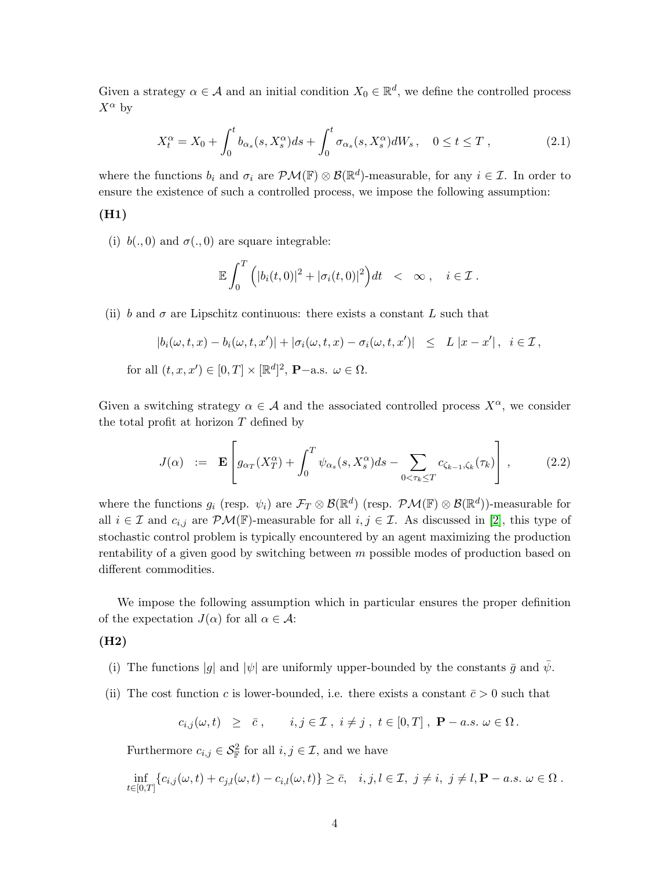Given a strategy  $\alpha \in \mathcal{A}$  and an initial condition  $X_0 \in \mathbb{R}^d$ , we define the controlled process  $X^{\alpha}$  by

$$
X_t^{\alpha} = X_0 + \int_0^t b_{\alpha_s}(s, X_s^{\alpha})ds + \int_0^t \sigma_{\alpha_s}(s, X_s^{\alpha})dW_s, \quad 0 \le t \le T,
$$
\n(2.1)

where the functions  $b_i$  and  $\sigma_i$  are  $\mathcal{PM}(\mathbb{F}) \otimes \mathcal{B}(\mathbb{R}^d)$ -measurable, for any  $i \in \mathcal{I}$ . In order to ensure the existence of such a controlled process, we impose the following assumption:

#### (H1)

for

(i)  $b(., 0)$  and  $\sigma(., 0)$  are square integrable:

$$
\mathbb{E}\int_0^T \Big( |b_i(t,0)|^2 + |\sigma_i(t,0)|^2 \Big) dt < \infty, \quad i \in \mathcal{I}.
$$

(ii) b and  $\sigma$  are Lipschitz continuous: there exists a constant L such that

$$
|b_i(\omega, t, x) - b_i(\omega, t, x')| + |\sigma_i(\omega, t, x) - \sigma_i(\omega, t, x')| \le L |x - x'|, \quad i \in \mathcal{I},
$$
  
all  $(t, x, x') \in [0, T] \times [\mathbb{R}^d]^2$ , **P**–a.s.  $\omega \in \Omega$ .

Given a switching strategy  $\alpha \in \mathcal{A}$  and the associated controlled process  $X^{\alpha}$ , we consider the total profit at horizon  $T$  defined by

$$
J(\alpha) := \mathbf{E} \left[ g_{\alpha_T}(X_T^{\alpha}) + \int_0^T \psi_{\alpha_s}(s, X_s^{\alpha}) ds - \sum_{0 < \tau_k \le T} c_{\zeta_{k-1}, \zeta_k}(\tau_k) \right], \tag{2.2}
$$

where the functions  $g_i$  (resp.  $\psi_i$ ) are  $\mathcal{F}_T \otimes \mathcal{B}(\mathbb{R}^d)$  (resp.  $\mathcal{PM}(\mathbb{F}) \otimes \mathcal{B}(\mathbb{R}^d)$ )-measurable for all  $i \in \mathcal{I}$  and  $c_{i,j}$  are  $\mathcal{PM}(\mathbb{F})$ -measurable for all  $i, j \in \mathcal{I}$ . As discussed in [2], this type of stochastic control problem is typically encountered by an agent maximizing the production rentability of a given good by switching between  $m$  possible modes of production based on different commodities.

We impose the following assumption which in particular ensures the proper definition of the expectation  $J(\alpha)$  for all  $\alpha \in \mathcal{A}$ :

#### (H2)

- (i) The functions  $|g|$  and  $|\psi|$  are uniformly upper-bounded by the constants  $\bar{g}$  and  $\bar{\psi}$ .
- (ii) The cost function c is lower-bounded, i.e. there exists a constant  $\bar{c} > 0$  such that

 $c_{i,j}(\omega, t) \geq \bar{c}$ ,  $i, j \in \mathcal{I}$ ,  $i \neq j$ ,  $t \in [0, T]$ ,  $\mathbf{P}-a.s. \ \omega \in \Omega$ .

Furthermore  $c_{i,j} \in \mathcal{S}_{\mathbb{F}}^2$  for all  $i, j \in \mathcal{I}$ , and we have

$$
\inf_{t\in[0,T]}\left\{c_{i,j}(\omega,t)+c_{j,l}(\omega,t)-c_{i,l}(\omega,t)\right\}\geq\bar{c},\quad i,j,l\in\mathcal{I},\ j\neq i,\ j\neq l,\mathbf{P}-a.s.\ \omega\in\Omega.
$$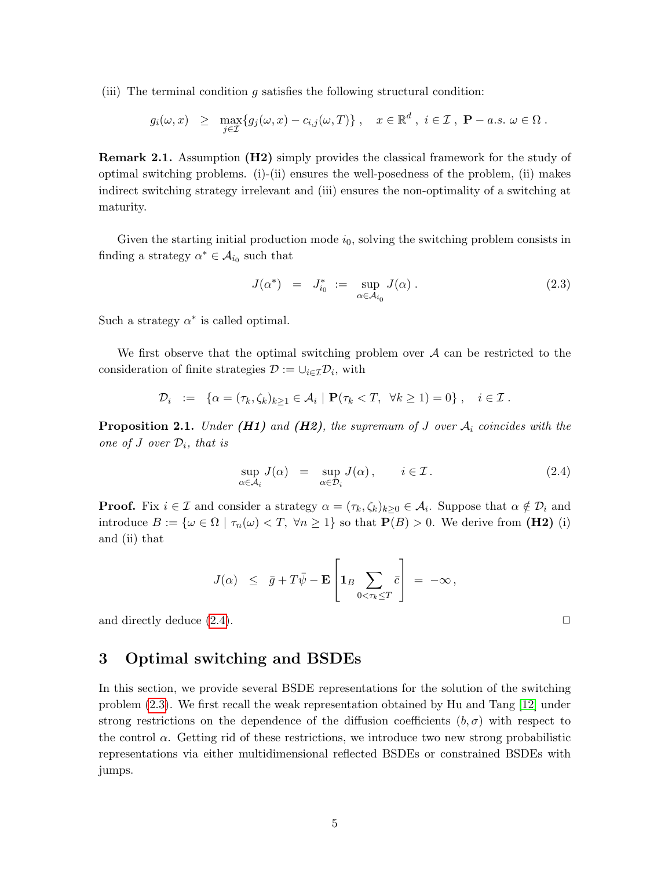(iii) The terminal condition  $q$  satisfies the following structural condition:

$$
g_i(\omega, x) \ge \max_{j \in \mathcal{I}} \{ g_j(\omega, x) - c_{i,j}(\omega, T) \}, \quad x \in \mathbb{R}^d, i \in \mathcal{I}, \ \mathbf{P}-a.s. \ \omega \in \Omega.
$$

Remark 2.1. Assumption (H2) simply provides the classical framework for the study of optimal switching problems. (i)-(ii) ensures the well-posedness of the problem, (ii) makes indirect switching strategy irrelevant and (iii) ensures the non-optimality of a switching at maturity.

Given the starting initial production mode  $i_0$ , solving the switching problem consists in finding a strategy  $\alpha^* \in \mathcal{A}_{i_0}$  such that

$$
J(\alpha^*) = J_{i_0}^* := \sup_{\alpha \in \mathcal{A}_{i_0}} J(\alpha) . \tag{2.3}
$$

Such a strategy  $\alpha^*$  is called optimal.

We first observe that the optimal switching problem over  $A$  can be restricted to the consideration of finite strategies  $\mathcal{D} := \cup_{i \in \mathcal{I}} \mathcal{D}_i$ , with

$$
\mathcal{D}_i := \left\{ \alpha = (\tau_k, \zeta_k)_{k \geq 1} \in \mathcal{A}_i \mid \mathbf{P}(\tau_k < T, \ \forall k \geq 1) = 0 \right\}, \quad i \in \mathcal{I}.
$$

**Proposition 2.1.** Under  $(H1)$  and  $(H2)$ , the supremum of J over  $A_i$  coincides with the one of J over  $\mathcal{D}_i$ , that is

$$
\sup_{\alpha \in \mathcal{A}_i} J(\alpha) = \sup_{\alpha \in \mathcal{D}_i} J(\alpha), \qquad i \in \mathcal{I}. \tag{2.4}
$$

**Proof.** Fix  $i \in \mathcal{I}$  and consider a strategy  $\alpha = (\tau_k, \zeta_k)_{k \geq 0} \in \mathcal{A}_i$ . Suppose that  $\alpha \notin \mathcal{D}_i$  and introduce  $B := {\omega \in \Omega \mid \tau_n(\omega) < T, \forall n \geq 1}$  so that  $P(B) > 0$ . We derive from (H2) (i) and (ii) that

$$
J(\alpha) \leq \bar{g} + T\bar{\psi} - \mathbf{E} \left[ \mathbf{1}_B \sum_{0 < \tau_k \leq T} \bar{c} \right] = -\infty,
$$

and directly deduce  $(2.4)$ .

## 3 Optimal switching and BSDEs

In this section, we provide several BSDE representations for the solution of the switching problem (2.3). We first recall the weak representation obtained by Hu and Tang [12] under strong restrictions on the dependence of the diffusion coefficients  $(b, \sigma)$  with respect to the control  $\alpha$ . Getting rid of these restrictions, we introduce two new strong probabilistic representations via either multidimensional reflected BSDEs or constrained BSDEs with jumps.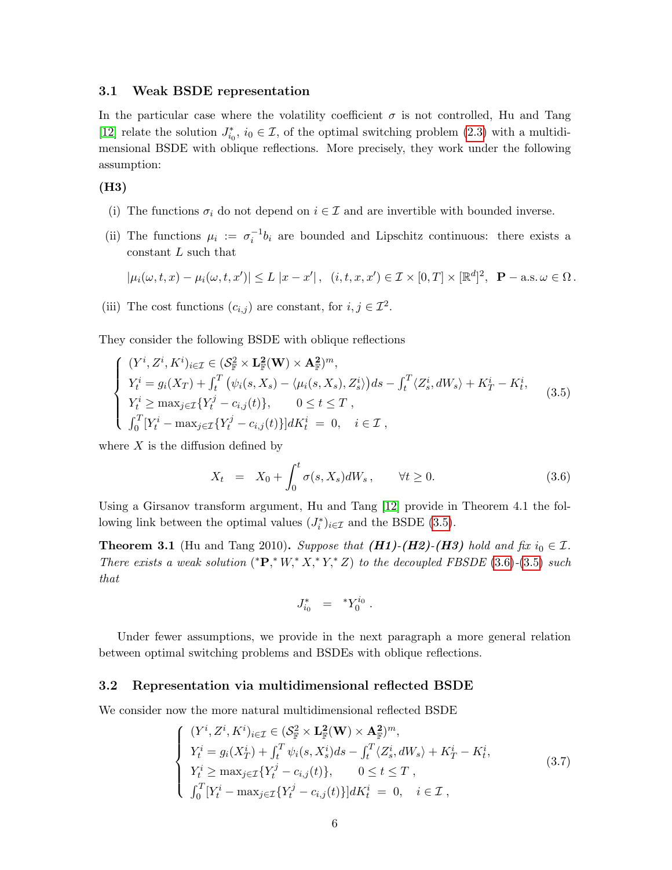#### 3.1 Weak BSDE representation

In the particular case where the volatility coefficient  $\sigma$  is not controlled, Hu and Tang [12] relate the solution  $J_{i_0}^*$ ,  $i_0 \in \mathcal{I}$ , of the optimal switching problem (2.3) with a multidimensional BSDE with oblique reflections. More precisely, they work under the following assumption:

(H3)

- (i) The functions  $\sigma_i$  do not depend on  $i \in \mathcal{I}$  and are invertible with bounded inverse.
- (ii) The functions  $\mu_i := \sigma_i^{-1} b_i$  are bounded and Lipschitz continuous: there exists a constant  $L$  such that

$$
|\mu_i(\omega, t, x) - \mu_i(\omega, t, x')| \le L |x - x'|, \quad (i, t, x, x') \in \mathcal{I} \times [0, T] \times [\mathbb{R}^d]^2, \quad \mathbf{P}-\text{a.s.} \ \omega \in \Omega \ .
$$

(iii) The cost functions  $(c_{i,j})$  are constant, for  $i, j \in \mathcal{I}^2$ .

They consider the following BSDE with oblique reflections

$$
\begin{cases}\n(Y^{i}, Z^{i}, K^{i})_{i \in \mathcal{I}} \in (\mathcal{S}_{\mathbb{F}}^{2} \times \mathbf{L}_{\mathbb{F}}^{2}(\mathbf{W}) \times \mathbf{A}_{\mathbb{F}}^{2})^{m}, \\
Y_{t}^{i} = g_{i}(X_{T}) + \int_{t}^{T} (\psi_{i}(s, X_{s}) - \langle \mu_{i}(s, X_{s}), Z_{s}^{i} \rangle) ds - \int_{t}^{T} \langle Z_{s}^{i}, dW_{s} \rangle + K_{T}^{i} - K_{t}^{i}, \\
Y_{t}^{i} \geq \max_{j \in \mathcal{I}} \{ Y_{t}^{j} - c_{i,j}(t) \}, \qquad 0 \leq t \leq T, \\
\int_{0}^{T} [Y_{t}^{i} - \max_{j \in \mathcal{I}} \{ Y_{t}^{j} - c_{i,j}(t) \}] dK_{t}^{i} = 0, \quad i \in \mathcal{I},\n\end{cases} \tag{3.5}
$$

where  $X$  is the diffusion defined by

$$
X_t = X_0 + \int_0^t \sigma(s, X_s) dW_s, \qquad \forall t \ge 0.
$$
 (3.6)

Using a Girsanov transform argument, Hu and Tang [12] provide in Theorem 4.1 the following link between the optimal values  $(J_i^*)_{i \in \mathcal{I}}$  and the BSDE (3.5).

**Theorem 3.1** (Hu and Tang 2010). Suppose that  $(H1)-(H2)-(H3)$  hold and fix  $i_0 \in \mathcal{I}$ . There exists a weak solution  $(*\mathbf{P},^*W,^*X,^*Y,^*Z)$  to the decoupled FBSDE (3.6)-(3.5) such that

$$
J_{i_0}^* = {}^*Y_0^{i_0} .
$$

Under fewer assumptions, we provide in the next paragraph a more general relation between optimal switching problems and BSDEs with oblique reflections.

#### 3.2 Representation via multidimensional reflected BSDE

We consider now the more natural multidimensional reflected BSDE

$$
\begin{cases}\n(Y^{i}, Z^{i}, K^{i})_{i \in \mathcal{I}} \in (\mathcal{S}_{\mathbb{F}}^{2} \times \mathbf{L}_{\mathbb{F}}^{2}(\mathbf{W}) \times \mathbf{A}_{\mathbb{F}}^{2})^{m}, \\
Y_{t}^{i} = g_{i}(X_{T}^{i}) + \int_{t}^{T} \psi_{i}(s, X_{s}^{i})ds - \int_{t}^{T} \langle Z_{s}^{i}, dW_{s} \rangle + K_{T}^{i} - K_{t}^{i}, \\
Y_{t}^{i} \geq \max_{j \in \mathcal{I}} \{Y_{t}^{j} - c_{i,j}(t)\}, \qquad 0 \leq t \leq T, \\
\int_{0}^{T} [Y_{t}^{i} - \max_{j \in \mathcal{I}} \{Y_{t}^{j} - c_{i,j}(t)\}] dK_{t}^{i} = 0, \quad i \in \mathcal{I},\n\end{cases} \tag{3.7}
$$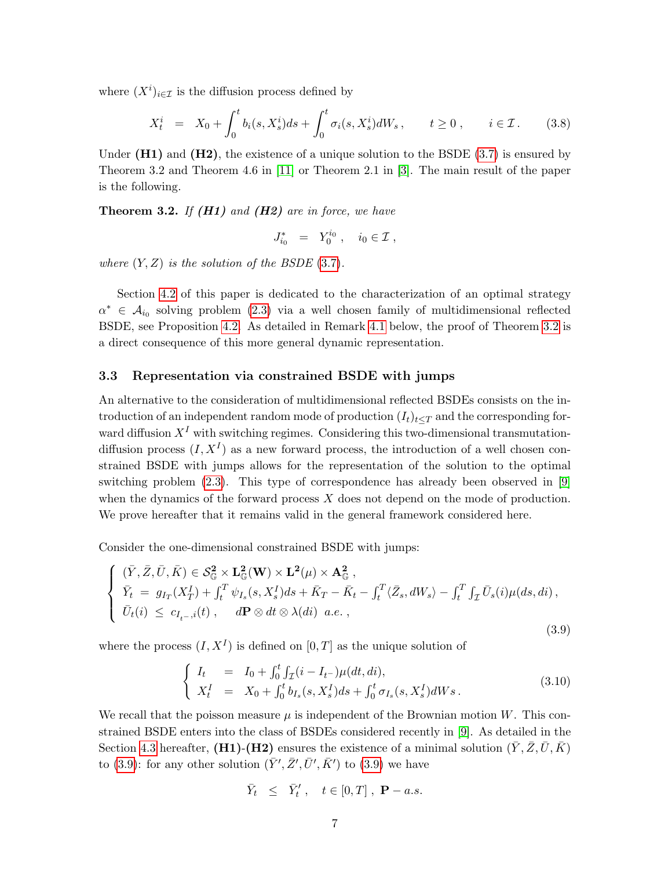where  $(X^i)_{i \in \mathcal{I}}$  is the diffusion process defined by

$$
X_t^i = X_0 + \int_0^t b_i(s, X_s^i) ds + \int_0^t \sigma_i(s, X_s^i) dW_s, \qquad t \ge 0, \qquad i \in \mathcal{I}. \tag{3.8}
$$

Under  $(H1)$  and  $(H2)$ , the existence of a unique solution to the BSDE (3.7) is ensured by Theorem 3.2 and Theorem 4.6 in [11] or Theorem 2.1 in [3]. The main result of the paper is the following.

**Theorem 3.2.** If  $(H1)$  and  $(H2)$  are in force, we have

$$
J_{i_0}^* = Y_0^{i_0}, \quad i_0 \in \mathcal{I},
$$

where  $(Y, Z)$  is the solution of the BSDE  $(3.7)$ .

Section 4.2 of this paper is dedicated to the characterization of an optimal strategy  $\alpha^* \in \mathcal{A}_{i_0}$  solving problem (2.3) via a well chosen family of multidimensional reflected BSDE, see Proposition 4.2. As detailed in Remark 4.1 below, the proof of Theorem 3.2 is a direct consequence of this more general dynamic representation.

#### 3.3 Representation via constrained BSDE with jumps

An alternative to the consideration of multidimensional reflected BSDEs consists on the introduction of an independent random mode of production  $(I_t)_{t\leq T}$  and the corresponding forward diffusion  $X<sup>I</sup>$  with switching regimes. Considering this two-dimensional transmutationdiffusion process  $(I, X^I)$  as a new forward process, the introduction of a well chosen constrained BSDE with jumps allows for the representation of the solution to the optimal switching problem (2.3). This type of correspondence has already been observed in [9] when the dynamics of the forward process X does not depend on the mode of production. We prove hereafter that it remains valid in the general framework considered here.

Consider the one-dimensional constrained BSDE with jumps:

$$
\begin{cases}\n(\bar{Y}, \bar{Z}, \bar{U}, \bar{K}) \in \mathcal{S}_{\mathbb{G}}^2 \times \mathbf{L}_{\mathbb{G}}^2(\mathbf{W}) \times \mathbf{L}^2(\mu) \times \mathbf{A}_{\mathbb{G}}^2, \n\bar{Y}_t = g_{I_T}(X_T^I) + \int_t^T \psi_{I_s}(s, X_s^I) ds + \bar{K}_T - \bar{K}_t - \int_t^T \langle \bar{Z}_s, dW_s \rangle - \int_t^T \int_{\mathcal{I}} \bar{U}_s(i) \mu(ds, di), \n\bar{U}_t(i) \le c_{I_{t-},i}(t), \quad d\mathbf{P} \otimes dt \otimes \lambda(di) \ a.e.,\n\end{cases} \tag{3.9}
$$

where the process  $(I, X^I)$  is defined on  $[0, T]$  as the unique solution of

$$
\begin{cases}\nI_t &= I_0 + \int_0^t \int_{\mathcal{I}} (i - I_{t-}) \mu(dt, di), \\
X_t^I &= X_0 + \int_0^t b_{I_s}(s, X_s^I) ds + \int_0^t \sigma_{I_s}(s, X_s^I) dW s. \n\end{cases} \tag{3.10}
$$

We recall that the poisson measure  $\mu$  is independent of the Brownian motion W. This constrained BSDE enters into the class of BSDEs considered recently in [9]. As detailed in the Section 4.3 hereafter, (H1)-(H2) ensures the existence of a minimal solution  $(\bar{Y}, \bar{Z}, \bar{U}, \bar{K})$ to (3.9): for any other solution  $(\bar{Y}', \bar{Z}', \bar{U}', \bar{K}')$  to (3.9) we have

$$
\bar{Y}_t \hspace{2mm} \leq \hspace{2mm} \bar{Y}'_t \hspace{2mm}, \hspace{2mm} t \in [0,T] \hspace{2mm}, \hspace{2mm} \mathbf{P}-a.s.
$$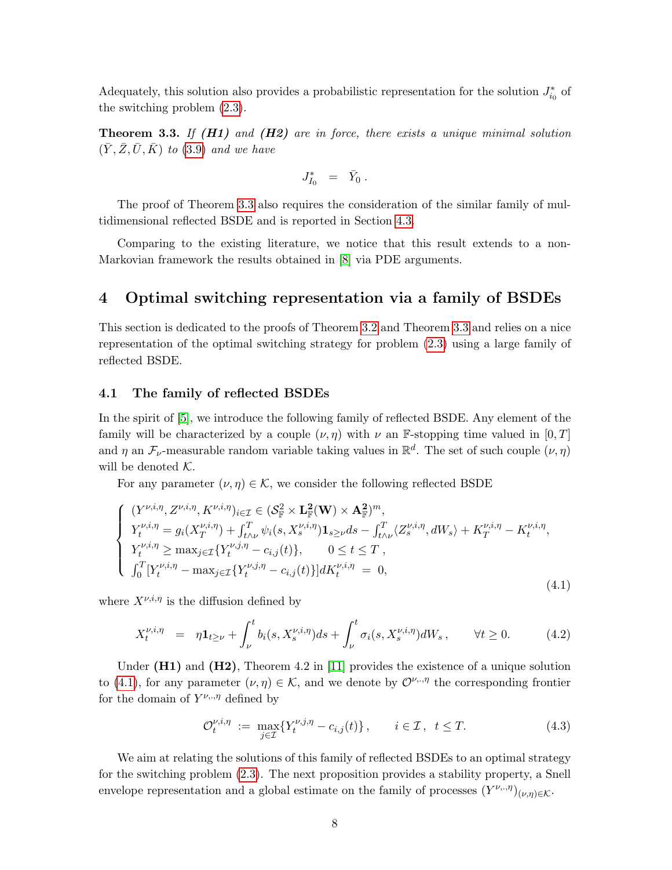Adequately, this solution also provides a probabilistic representation for the solution  $J_{i_0}^*$  of the switching problem (2.3).

**Theorem 3.3.** If  $(H1)$  and  $(H2)$  are in force, there exists a unique minimal solution  $(\bar{Y}, \bar{Z}, \bar{U}, \bar{K})$  to (3.9) and we have

$$
J_{I_0}^* \quad = \quad \bar{Y}_0 \; .
$$

The proof of Theorem 3.3 also requires the consideration of the similar family of multidimensional reflected BSDE and is reported in Section 4.3.

Comparing to the existing literature, we notice that this result extends to a non-Markovian framework the results obtained in [8] via PDE arguments.

## 4 Optimal switching representation via a family of BSDEs

This section is dedicated to the proofs of Theorem 3.2 and Theorem 3.3 and relies on a nice representation of the optimal switching strategy for problem (2.3) using a large family of reflected BSDE.

#### 4.1 The family of reflected BSDEs

In the spirit of [5], we introduce the following family of reflected BSDE. Any element of the family will be characterized by a couple  $(\nu, \eta)$  with  $\nu$  an F-stopping time valued in [0, T] and  $\eta$  an  $\mathcal{F}_{\nu}$ -measurable random variable taking values in  $\mathbb{R}^d$ . The set of such couple  $(\nu, \eta)$ will be denoted  $K$ .

For any parameter  $(\nu, \eta) \in \mathcal{K}$ , we consider the following reflected BSDE

$$
\begin{cases}\n(Y^{\nu,i,\eta}, Z^{\nu,i,\eta}, K^{\nu,i,\eta})_{i \in \mathcal{I}} \in (S_{\mathbb{F}}^{2} \times \mathbf{L}_{\mathbb{F}}^{2}(\mathbf{W}) \times \mathbf{A}_{\mathbb{F}}^{2})^{m}, \\
Y_{t}^{\nu,i,\eta} = g_{i}(X_{T}^{\nu,i,\eta}) + \int_{t \wedge \nu}^{T} \psi_{i}(s, X_{s}^{\nu,i,\eta}) \mathbf{1}_{s \geq \nu} ds - \int_{t \wedge \nu}^{T} \langle Z_{s}^{\nu,i,\eta}, dW_{s} \rangle + K_{T}^{\nu,i,\eta} - K_{t}^{\nu,i,\eta}, \\
Y_{t}^{\nu,i,\eta} \geq \max_{j \in \mathcal{I}} \{Y_{t}^{\nu,j,\eta} - c_{i,j}(t)\}, \qquad 0 \leq t \leq T, \\
\int_{0}^{T} [Y_{t}^{\nu,i,\eta} - \max_{j \in \mathcal{I}} \{Y_{t}^{\nu,j,\eta} - c_{i,j}(t)\}] dK_{t}^{\nu,i,\eta} = 0,\n\end{cases} \tag{4.1}
$$

where  $X^{\nu,i,\eta}$  is the diffusion defined by

$$
X_t^{\nu,i,\eta} = \eta \mathbf{1}_{t \ge \nu} + \int_{\nu}^t b_i(s, X_s^{\nu,i,\eta}) ds + \int_{\nu}^t \sigma_i(s, X_s^{\nu,i,\eta}) dW_s, \qquad \forall t \ge 0. \tag{4.2}
$$

Under  $(H1)$  and  $(H2)$ , Theorem 4.2 in [11] provides the existence of a unique solution to (4.1), for any parameter  $(\nu, \eta) \in \mathcal{K}$ , and we denote by  $\mathcal{O}^{\nu, \eta}$  the corresponding frontier for the domain of  $Y^{\nu,\cdot,\eta}$  defined by

$$
\mathcal{O}_t^{\nu,i,\eta} := \max_{j \in \mathcal{I}} \{ Y_t^{\nu,j,\eta} - c_{i,j}(t) \}, \qquad i \in \mathcal{I}, \quad t \leq T. \tag{4.3}
$$

We aim at relating the solutions of this family of reflected BSDEs to an optimal strategy for the switching problem (2.3). The next proposition provides a stability property, a Snell envelope representation and a global estimate on the family of processes  $(Y^{\nu,\eta})_{(\nu,\eta)\in\mathcal{K}}$ .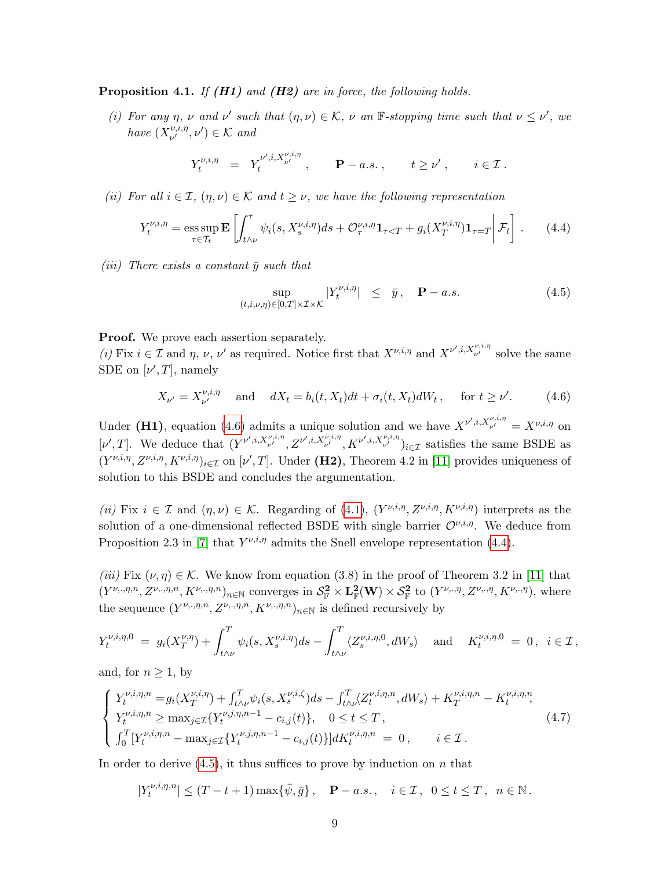**Proposition 4.1.** If  $(H1)$  and  $(H2)$  are in force, the following holds.

(i) For any  $\eta$ ,  $\nu$  and  $\nu'$  such that  $(\eta, \nu) \in \mathcal{K}$ ,  $\nu$  an  $\mathbb{F}$ -stopping time such that  $\nu \leq \nu'$ , we have  $(X_{\nu'}^{\nu,i,\eta})$  $v^{\nu,i,\eta}_{\nu'} , \nu' ) \in \mathcal{K}$  and

$$
Y_t^{\nu,i,\eta} = Y_t^{\nu',i,X_{\nu'}^{\nu,i,\eta}}, \qquad \mathbf{P}-a.s., \qquad t \ge \nu', \qquad i \in \mathcal{I}.
$$

(ii) For all  $i \in \mathcal{I}$ ,  $(\eta, \nu) \in \mathcal{K}$  and  $t \geq \nu$ , we have the following representation

$$
Y_t^{\nu,i,\eta} = \operatorname*{ess\,sup}_{\tau \in \mathcal{T}_t} \mathbf{E} \left[ \int_{t \wedge \nu}^{\tau} \psi_i(s, X_s^{\nu,i,\eta}) ds + \mathcal{O}_{\tau}^{\nu,i,\eta} \mathbf{1}_{\tau < T} + g_i(X_T^{\nu,i,\eta}) \mathbf{1}_{\tau = T} \middle| \mathcal{F}_t \right]. \tag{4.4}
$$

(iii) There exists a constant  $\bar{y}$  such that

$$
\sup_{(t,i,\nu,\eta)\in[0,T]\times\mathcal{I}\times\mathcal{K}}|Y_t^{\nu,i,\eta}| \leq \bar{y}, \quad \mathbf{P}-a.s.
$$
\n(4.5)

Proof. We prove each assertion separately.

(i) Fix  $i \in \mathcal{I}$  and  $\eta$ ,  $\nu$ ,  $\nu'$  as required. Notice first that  $X^{\nu,i,\eta}$  and  $X^{\nu',i,X^{\nu,i,\eta}}_{\nu'}$  solve the same SDE on  $[\nu', T]$ , namely

$$
X_{\nu'} = X_{\nu'}^{\nu,i,\eta} \quad \text{and} \quad dX_t = b_i(t, X_t)dt + \sigma_i(t, X_t)dW_t, \quad \text{for } t \ge \nu'. \tag{4.6}
$$

Under (H1), equation (4.6) admits a unique solution and we have  $X^{\nu',i,X_{\nu'}^{\nu,i,\eta}} = X^{\nu,i,\eta}$  on [v', T]. We deduce that  $(Y^{\nu',i,X_{\nu'}^{\nu,i,\eta}}, Z^{\nu',i,X_{\nu'}^{\nu,i,\eta}}, K^{\nu',i,X_{\nu'}^{\nu,i,\eta}})_{i\in\mathcal{I}}$  satisfies the same BSDE as  $(Y^{\nu,i,\eta}, Z^{\nu,i,\eta}, K^{\nu,i,\eta})_{i\in\mathcal{I}}$  on  $[\nu',T]$ . Under (H2), Theorem 4.2 in [11] provides uniqueness of solution to this BSDE and concludes the argumentation.

(ii) Fix  $i \in \mathcal{I}$  and  $(\eta, \nu) \in \mathcal{K}$ . Regarding of (4.1),  $(Y^{\nu,i,\eta}, Z^{\nu,i,\eta}, K^{\nu,i,\eta})$  interprets as the solution of a one-dimensional reflected BSDE with single barrier  $\mathcal{O}^{\nu,i,\eta}$ . We deduce from Proposition 2.3 in [7] that  $Y^{\nu,i,\eta}$  admits the Snell envelope representation (4.4).

(iii) Fix  $(\nu, \eta) \in \mathcal{K}$ . We know from equation (3.8) in the proof of Theorem 3.2 in [11] that  $(Y^{\nu_{\nu},\eta,n}, Z^{\nu_{\nu},\eta,n}, K^{\nu_{\nu},\eta,n})_{n\in\mathbb{N}}$  converges in  $\mathcal{S}_{\mathbb{F}}^2 \times \mathbf{L}_{\mathbb{F}}^2(\mathbf{W}) \times \mathcal{S}_{\mathbb{F}}^2$  to  $(Y^{\nu_{\nu},\eta}, Z^{\nu_{\nu},\eta}, K^{\nu_{\nu},\eta})$ , where the sequence  $(Y^{\nu_n,\eta,n}, Z^{\nu_n,\eta,n}, K^{\nu_n,\eta,n})_{n\in\mathbb{N}}$  is defined recursively by

$$
Y_t^{\nu,i,\eta,0} = g_i(X_T^{\nu,\eta}) + \int_{t \wedge \nu}^T \psi_i(s,X_s^{\nu,i,\eta})ds - \int_{t \wedge \nu}^T \langle Z_s^{\nu,i,\eta,0}, dW_s \rangle \quad \text{and} \quad K_t^{\nu,i,\eta,0} = 0, \ \ i \in \mathcal{I},
$$

and, for  $n > 1$ , by

$$
\begin{cases}\nY_{t}^{\nu,i,\eta,n} = g_i(X_T^{\nu,i,\eta}) + \int_{t \wedge \nu}^T \psi_i(s, X_s^{\nu,i,\zeta}) ds - \int_{t \wedge \nu}^T \langle Z_t^{\nu,i,\eta,n}, dW_s \rangle + K_T^{\nu,i,\eta,n} - K_t^{\nu,i,\eta,n}, \\
Y_t^{\nu,i,\eta,n} \ge \max_{j \in \mathcal{I}} \{ Y_t^{\nu,j,\eta,n-1} - c_{i,j}(t) \}, \quad 0 \le t \le T, \\
\int_0^T [Y_t^{\nu,i,\eta,n} - \max_{j \in \mathcal{I}} \{ Y_t^{\nu,j,\eta,n-1} - c_{i,j}(t) \}] dK_t^{\nu,i,\eta,n} = 0, \quad i \in \mathcal{I}.\n\end{cases} \tag{4.7}
$$

In order to derive  $(4.5)$ , it thus suffices to prove by induction on n that

 $|Y_t^{\nu,i,\eta,n}$  $|t_i^{\nu,i,\eta,n}| \le (T-t+1) \max\{\bar{\psi},\bar{g}\}, \quad \mathbf{P}-a.s., \quad i \in \mathcal{I}, \ \ 0 \le t \le T, \ \ n \in \mathbb{N}.$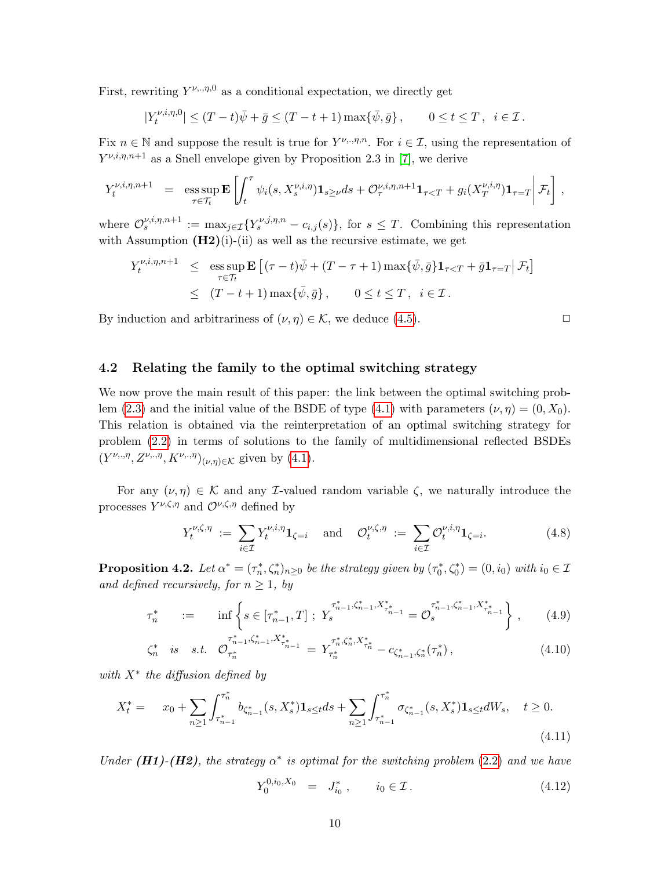First, rewriting  $Y^{\nu,\eta,0}$  as a conditional expectation, we directly get

$$
|Y_t^{\nu,i,\eta,0}| \le (T-t)\bar{\psi} + \bar{g} \le (T-t+1)\max\{\bar{\psi}, \bar{g}\}, \qquad 0 \le t \le T, \ \ i \in \mathcal{I}.
$$

Fix  $n \in \mathbb{N}$  and suppose the result is true for  $Y^{\nu_{\nu}, \eta, n}$ . For  $i \in \mathcal{I}$ , using the representation of  $Y^{\nu,i,\eta,n+1}$  as a Snell envelope given by Proposition 2.3 in [7], we derive

$$
Y_t^{\nu,i,\eta,n+1} = \operatorname{ess} \sup_{\tau \in \mathcal{T}_t} \mathbf{E} \left[ \int_t^{\tau} \psi_i(s,X_s^{\nu,i,\eta}) \mathbf{1}_{s \geq \nu} ds + \mathcal{O}_{\tau}^{\nu,i,\eta,n+1} \mathbf{1}_{\tau < T} + g_i(X_T^{\nu,i,\eta}) \mathbf{1}_{\tau = T} \right] \mathcal{F}_t \right],
$$

where  $\mathcal{O}_s^{\nu,i,\eta,n+1} := \max_{j \in \mathcal{I}} \{Y_s^{\nu,j,\eta,n} - c_{i,j}(s)\},\$  for  $s \leq T$ . Combining this representation with Assumption  $(H2)(i)$ -(ii) as well as the recursive estimate, we get

$$
Y_t^{\nu,i,\eta,n+1} \le \underset{\tau \in \mathcal{T}_t}{\text{ess sup}} \mathbf{E} \left[ (\tau - t)\bar{\psi} + (T - \tau + 1)\max\{\bar{\psi}, \bar{g}\} \mathbf{1}_{\tau < T} + \bar{g}\mathbf{1}_{\tau = T} | \mathcal{F}_t \right]
$$
  

$$
\le (T - t + 1)\max\{\bar{\psi}, \bar{g}\}, \qquad 0 \le t \le T, \quad i \in \mathcal{I}.
$$

By induction and arbitrariness of  $(\nu, \eta) \in \mathcal{K}$ , we deduce (4.5).

#### 4.2 Relating the family to the optimal switching strategy

We now prove the main result of this paper: the link between the optimal switching problem (2.3) and the initial value of the BSDE of type (4.1) with parameters  $(\nu, \eta) = (0, X_0)$ . This relation is obtained via the reinterpretation of an optimal switching strategy for problem (2.2) in terms of solutions to the family of multidimensional reflected BSDEs  $(Y^{\nu_{\nu},\eta}, Z^{\nu_{\nu},\eta}, K^{\nu_{\nu},\eta})_{(\nu,\eta)\in\mathcal{K}}$  given by (4.1).

For any  $(\nu, \eta) \in \mathcal{K}$  and any *I*-valued random variable  $\zeta$ , we naturally introduce the processes  $Y^{\nu,\zeta,\eta}$  and  $\mathcal{O}^{\nu,\zeta,\eta}$  defined by

$$
Y_t^{\nu,\zeta,\eta} := \sum_{i \in \mathcal{I}} Y_t^{\nu,i,\eta} \mathbf{1}_{\zeta=i} \quad \text{and} \quad \mathcal{O}_t^{\nu,\zeta,\eta} := \sum_{i \in \mathcal{I}} \mathcal{O}_t^{\nu,i,\eta} \mathbf{1}_{\zeta=i}.
$$
 (4.8)

**Proposition 4.2.** Let  $\alpha^* = (\tau_n^*, \zeta_n^*)_{n \geq 0}$  be the strategy given by  $(\tau_0^*, \zeta_0^*) = (0, i_0)$  with  $i_0 \in \mathcal{I}$ and defined recursively, for  $n \geq 1$ , by

$$
\tau_n^* \qquad := \qquad \inf \left\{ s \in [\tau_{n-1}^*, T] \; ; \; Y_s^{\tau_{n-1}^*, \zeta_{n-1}^*, X_{\tau_{n-1}^*}^*} = \mathcal{O}_s^{\tau_{n-1}^*, \zeta_{n-1}^*, X_{\tau_{n-1}^*}^*} \right\} \,, \tag{4.9}
$$

$$
\zeta_n^* \quad is \quad s.t. \quad \mathcal{O}_{\tau_n^*}^{\tau_{n-1}^*, \zeta_{n-1}^*, X_{\tau_{n-1}^*}^*} = Y_{\tau_n^*}^{\tau_n^*, \zeta_n^*, X_{\tau_n^*}^*} - c_{\zeta_{n-1}^*, \zeta_n^*}(\tau_n^*), \tag{4.10}
$$

with  $X^*$  the diffusion defined by

$$
X_t^* = x_0 + \sum_{n\geq 1} \int_{\tau_{n-1}^*}^{\tau_n^*} b_{\zeta_{n-1}^*}(s, X_s^*) \mathbf{1}_{s \leq t} ds + \sum_{n\geq 1} \int_{\tau_{n-1}^*}^{\tau_n^*} \sigma_{\zeta_{n-1}^*}(s, X_s^*) \mathbf{1}_{s \leq t} dW_s, \quad t \geq 0.
$$
\n(4.11)

Under (H1)-(H2), the strategy  $\alpha^*$  is optimal for the switching problem (2.2) and we have

$$
Y_0^{0,i_0,X_0} = J_{i_0}^*, \qquad i_0 \in \mathcal{I} \,.
$$
 (4.12)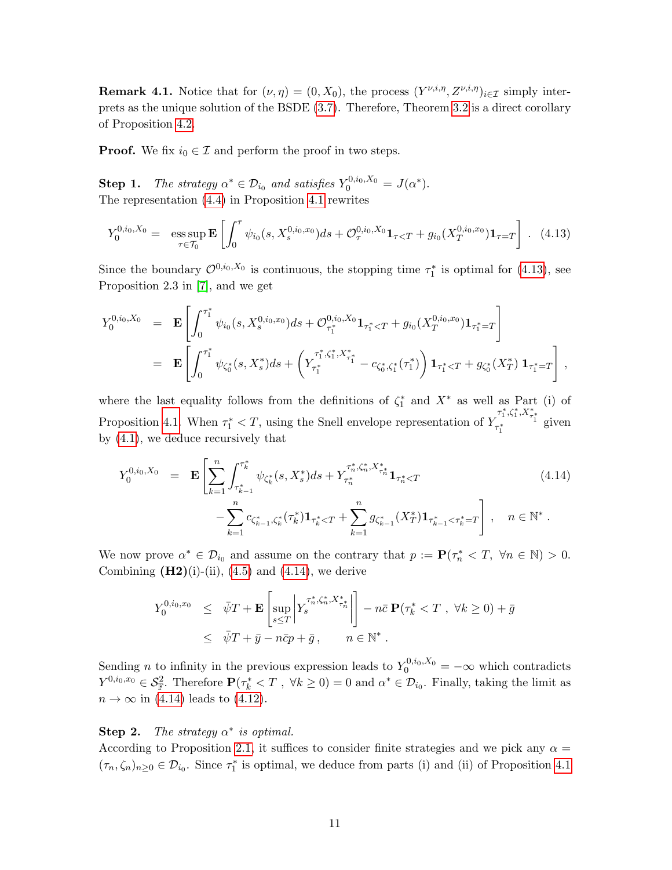**Remark 4.1.** Notice that for  $(\nu, \eta) = (0, X_0)$ , the process  $(Y^{\nu, i, \eta}, Z^{\nu, i, \eta})_{i \in \mathcal{I}}$  simply interprets as the unique solution of the BSDE (3.7). Therefore, Theorem 3.2 is a direct corollary of Proposition 4.2.

**Proof.** We fix  $i_0 \in \mathcal{I}$  and perform the proof in two steps.

**Step 1.** The strategy  $\alpha^* \in \mathcal{D}_{i_0}$  and satisfies  $Y_0^{0,i_0,X_0} = J(\alpha^*)$ . The representation (4.4) in Proposition 4.1 rewrites

$$
Y_0^{0,i_0,X_0} = \operatorname*{ess\,sup}_{\tau \in \mathcal{T}_0} \mathbf{E} \left[ \int_0^{\tau} \psi_{i_0}(s, X_s^{0,i_0,x_0}) ds + \mathcal{O}_{\tau}^{0,i_0,X_0} \mathbf{1}_{\tau < T} + g_{i_0}(X_T^{0,i_0,x_0}) \mathbf{1}_{\tau = T} \right]. \tag{4.13}
$$

Since the boundary  $\mathcal{O}^{0,i_0,X_0}$  is continuous, the stopping time  $\tau_1^*$  is optimal for (4.13), see Proposition 2.3 in [7], and we get

$$
Y_0^{0,i_0,X_0} = \mathbf{E} \left[ \int_0^{\tau_1^*} \psi_{i_0}(s, X_s^{0,i_0,x_0}) ds + \mathcal{O}_{\tau_1^*}^{0,i_0,X_0} \mathbf{1}_{\tau_1^* < T} + g_{i_0}(X_T^{0,i_0,x_0}) \mathbf{1}_{\tau_1^* = T} \right]
$$
  
= 
$$
\mathbf{E} \left[ \int_0^{\tau_1^*} \psi_{\zeta_0^*}(s, X_s^*) ds + \left( Y_{\tau_1^*}^{\tau_1^*, \zeta_1^*, X_{\tau_1^*}^*} - c_{\zeta_0^*, \zeta_1^*}(\tau_1^*) \right) \mathbf{1}_{\tau_1^* < T} + g_{\zeta_0^*}(X_T^*) \mathbf{1}_{\tau_1^* = T} \right],
$$

where the last equality follows from the definitions of  $\zeta_1^*$  and  $X^*$  as well as Part (i) of Proposition 4.1. When  $\tau_1^* < T$ , using the Snell envelope representation of  $Y_{\tau_1^*}^{\tau_1^*, \zeta_1^*, X_{\tau_1^*}^*}$  given by (4.1), we deduce recursively that

$$
Y_0^{0,i_0,X_0} = \mathbf{E} \left[ \sum_{k=1}^n \int_{\tau_{k-1}^*}^{\tau_k^*} \psi_{\zeta_k^*}(s, X_s^*) ds + Y_{\tau_k^*}^{\tau_n^*, \zeta_n^*, X_{\tau_n^*}^*} \mathbf{1}_{\tau_n^* < T} - \sum_{k=1}^n c_{\zeta_{k-1}^*, \zeta_k^*}(\tau_k^*) \mathbf{1}_{\tau_k^* < T} + \sum_{k=1}^n g_{\zeta_{k-1}^*}(X_T^*) \mathbf{1}_{\tau_{k-1}^* < \tau_k^* = T} \right], \quad n \in \mathbb{N}^*.
$$
\n(4.14)

We now prove  $\alpha^* \in \mathcal{D}_{i_0}$  and assume on the contrary that  $p := \mathbf{P}(\tau_n^* \lt T, \forall n \in \mathbb{N}) > 0$ . Combining  $(H2)(i)$ -(ii),  $(4.5)$  and  $(4.14)$ , we derive

$$
Y_0^{0,i_0,x_0} \leq \bar{\psi}T + \mathbf{E} \left[ \sup_{s \leq T} \left| Y_s^{\tau_n^*, \zeta_n^*, X_{\tau_n^*}^*} \right| \right] - n\bar{c} \mathbf{P}(\tau_k^* < T , \forall k \geq 0) + \bar{g}
$$
  

$$
\leq \bar{\psi}T + \bar{y} - n\bar{c}p + \bar{g} , \qquad n \in \mathbb{N}^*.
$$

Sending *n* to infinity in the previous expression leads to  $Y_0^{0,i_0,X_0} = -\infty$  which contradicts  $Y^{0,i_0,x_0} \in \mathcal{S}_{\mathbb{F}}^2$ . Therefore  $\mathbf{P}(\tau_k^* \lt T, \forall k \geq 0) = 0$  and  $\alpha^* \in \mathcal{D}_{i_0}$ . Finally, taking the limit as  $n \to \infty$  in (4.14) leads to (4.12).

### Step 2. The strategy  $\alpha^*$  is optimal.

According to Proposition 2.1, it suffices to consider finite strategies and we pick any  $\alpha =$  $(\tau_n, \zeta_n)_{n \geq 0} \in \mathcal{D}_{i_0}$ . Since  $\tau_1^*$  is optimal, we deduce from parts (i) and (ii) of Proposition 4.1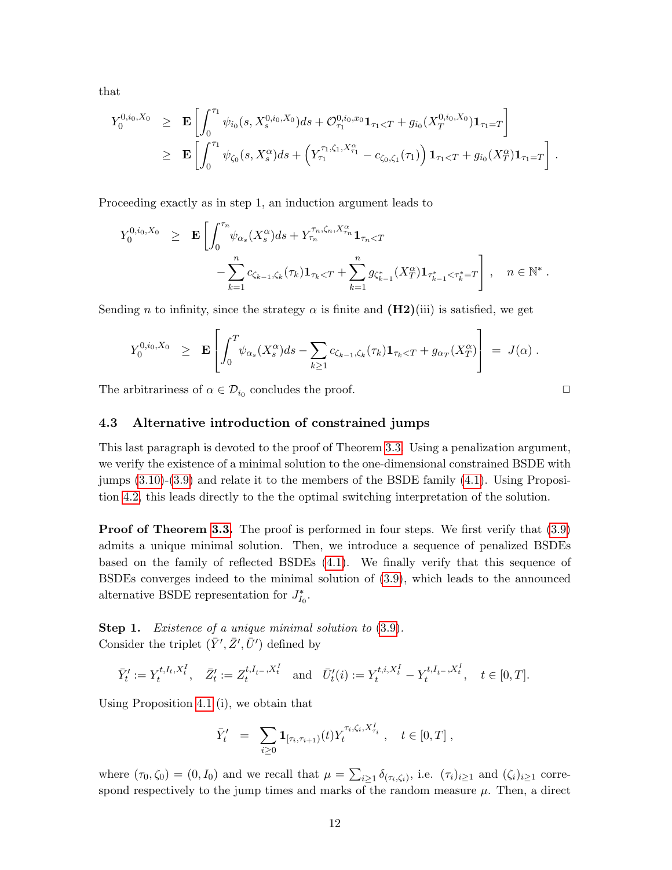that

$$
Y_0^{0,i_0,X_0} \geq \mathbf{E} \left[ \int_0^{\tau_1} \psi_{i_0}(s,X_s^{0,i_0,X_0}) ds + \mathcal{O}_{\tau_1}^{0,i_0,x_0} \mathbf{1}_{\tau_1 < T} + g_{i_0}(X_T^{0,i_0,X_0}) \mathbf{1}_{\tau_1 = T} \right]
$$
  
\n
$$
\geq \mathbf{E} \left[ \int_0^{\tau_1} \psi_{\zeta_0}(s,X_s^{\alpha}) ds + \left( Y_{\tau_1}^{\tau_1,\zeta_1,X_{\tau_1}^{\alpha}} - c_{\zeta_0,\zeta_1}(\tau_1) \right) \mathbf{1}_{\tau_1 < T} + g_{i_0}(X_T^{\alpha}) \mathbf{1}_{\tau_1 = T} \right].
$$

Proceeding exactly as in step 1, an induction argument leads to

$$
Y_0^{0,i_0,X_0} \geq \mathbf{E} \left[ \int_0^{\tau_n} \psi_{\alpha_s}(X_s^{\alpha}) ds + Y_{\tau_n}^{\tau_n,\zeta_n,X_{\tau_n}^{\alpha}} \mathbf{1}_{\tau_n < T} - \sum_{k=1}^n c_{\zeta_{k-1},\zeta_k}(\tau_k) \mathbf{1}_{\tau_k < T} + \sum_{k=1}^n g_{\zeta_{k-1}^*}(X_T^{\alpha}) \mathbf{1}_{\tau_{k-1}^* < \tau_k^* = T} \right], \quad n \in \mathbb{N}^*
$$

.

Sending n to infinity, since the strategy  $\alpha$  is finite and  $(H2)(iii)$  is satisfied, we get

$$
Y_0^{0,i_0,X_0} \geq \mathbf{E} \left[ \int_0^T \psi_{\alpha_s}(X_s^{\alpha}) ds - \sum_{k \geq 1} c_{\zeta_{k-1},\zeta_k}(\tau_k) \mathbf{1}_{\tau_k < T} + g_{\alpha_T}(X_T^{\alpha}) \right] = J(\alpha) .
$$

The arbitrariness of  $\alpha \in \mathcal{D}_{i_0}$  concludes the proof.  $\Box$ 

4.3 Alternative introduction of constrained jumps

This last paragraph is devoted to the proof of Theorem 3.3. Using a penalization argument, we verify the existence of a minimal solution to the one-dimensional constrained BSDE with jumps (3.10)-(3.9) and relate it to the members of the BSDE family (4.1). Using Proposition 4.2, this leads directly to the the optimal switching interpretation of the solution.

**Proof of Theorem 3.3.** The proof is performed in four steps. We first verify that  $(3.9)$ admits a unique minimal solution. Then, we introduce a sequence of penalized BSDEs based on the family of reflected BSDEs (4.1). We finally verify that this sequence of BSDEs converges indeed to the minimal solution of (3.9), which leads to the announced alternative BSDE representation for  $J_{I_0}^*$ .

Step 1. Existence of a unique minimal solution to  $(3.9)$ . Consider the triplet  $(\bar{Y}', \bar{Z}', \bar{U}')$  defined by

$$
\bar{Y}'_t := Y_t^{t, I_t, X_t^I}, \quad \bar{Z}'_t := Z_t^{t, I_{t-}, X_t^I} \quad \text{and} \quad \bar{U}'_t(i) := Y_t^{t, i, X_t^I} - Y_t^{t, I_{t-}, X_t^I}, \quad t \in [0, T].
$$

Using Proposition 4.1 (i), we obtain that

$$
\bar{Y}'_t = \sum_{i \geq 0} \mathbf{1}_{[\tau_i, \tau_{i+1})}(t) Y_t^{\tau_i, \zeta_i, X^I_{\tau_i}}, \quad t \in [0, T] ,
$$

where  $(\tau_0, \zeta_0) = (0, I_0)$  and we recall that  $\mu = \sum_{i \geq 1} \delta_{(\tau_i, \zeta_i)}$ , i.e.  $(\tau_i)_{i \geq 1}$  and  $(\zeta_i)_{i \geq 1}$  correspond respectively to the jump times and marks of the random measure  $\mu$ . Then, a direct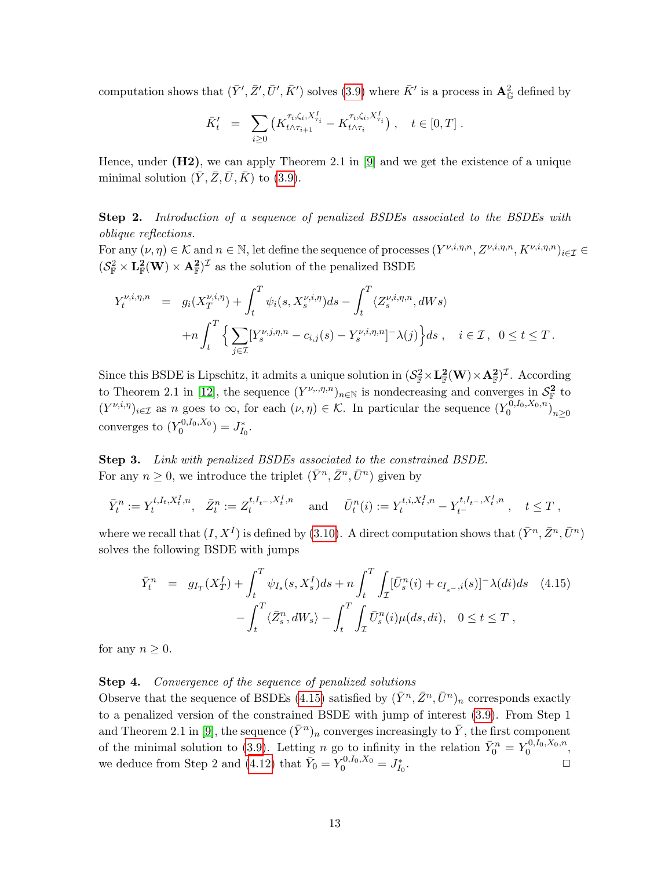computation shows that  $(\bar{Y}', \bar{Z}', \bar{U}', \bar{K}')$  solves (3.9) where  $\bar{K}'$  is a process in  $\mathbf{A}_{\mathbb{G}}^2$  defined by

$$
\bar{K}'_t = \sum_{i \geq 0} \left( K_{t \wedge \tau_{i+1}}^{\tau_i, \zeta_i, X_{\tau_i}^I} - K_{t \wedge \tau_i}^{\tau_i, \zeta_i, X_{\tau_i}^I} \right), \quad t \in [0, T].
$$

Hence, under  $(H2)$ , we can apply Theorem 2.1 in [9] and we get the existence of a unique minimal solution  $(\bar{Y}, \bar{Z}, \bar{U}, \bar{K})$  to (3.9).

**Step 2.** Introduction of a sequence of penalized BSDEs associated to the BSDEs with oblique reflections.

For any  $(\nu, \eta) \in \mathcal{K}$  and  $n \in \mathbb{N}$ , let define the sequence of processes  $(Y^{\nu,i,\eta,n}, Z^{\nu,i,\eta,n}, K^{\nu,i,\eta,n})_{i \in \mathcal{I}} \in$  $(S_{\mathbb{F}}^2 \times L_{\mathbb{F}}^2(W) \times A_{\mathbb{F}}^2)^{\mathcal{I}}$  as the solution of the penalized BSDE

$$
Y_t^{\nu,i,\eta,n} = g_i(X_T^{\nu,i,\eta}) + \int_t^T \psi_i(s, X_s^{\nu,i,\eta}) ds - \int_t^T \langle Z_s^{\nu,i,\eta,n}, dWs \rangle
$$
  
+
$$
+ n \int_t^T \Big\{ \sum_{j \in \mathcal{I}} [Y_s^{\nu,j,\eta,n} - c_{i,j}(s) - Y_s^{\nu,i,\eta,n}] - \lambda(j) \Big\} ds \,, \quad i \in \mathcal{I}, \quad 0 \le t \le T.
$$

Since this BSDE is Lipschitz, it admits a unique solution in  $(S^2_{\mathbb{F}} \times L^2_{\mathbb{F}}(W) \times A^2_{\mathbb{F}})^{\mathcal{I}}$ . According to Theorem 2.1 in [12], the sequence  $(Y^{\nu_n,\eta,n})_{n\in\mathbb{N}}$  is nondecreasing and converges in  $\mathcal{S}_{\mathbb{F}}^2$  to  $(Y^{\nu,i,\eta})_{i\in\mathcal{I}}$  as n goes to  $\infty$ , for each  $(\nu,\eta)\in\mathcal{K}$ . In particular the sequence  $(Y_0^{0,I_0,X_0,n})_{n\geq 0}$ converges to  $(Y_0^{0,I_0,X_0}) = J_{I_0}^*$ .

Step 3. Link with penalized BSDEs associated to the constrained BSDE. For any  $n \geq 0$ , we introduce the triplet  $(\bar{Y}^n, \bar{Z}^n, \bar{U}^n)$  given by

$$
\bar{Y}_t^n := Y_t^{t, I_t, X_t^I, n}, \quad \bar{Z}_t^n := Z_t^{t, I_{t-}, X_t^I, n} \quad \text{ and } \quad \bar{U}_t^n(i) := Y_t^{t, i, X_t^I, n} - Y_{t-}^{t, I_{t-}, X_t^I, n} , \quad t \le T ,
$$

where we recall that  $(I, X^I)$  is defined by (3.10). A direct computation shows that  $(\bar{Y}^n, \bar{Z}^n, \bar{U}^n)$ solves the following BSDE with jumps

$$
\bar{Y}_t^n = g_{I_T}(X_T^I) + \int_t^T \psi_{I_s}(s, X_s^I)ds + n \int_t^T \int_T [\bar{U}_s^n(i) + c_{I_{s-},i}(s)]^- \lambda(di)ds \quad (4.15)
$$

$$
- \int_t^T \langle \bar{Z}_s^n, dW_s \rangle - \int_t^T \int_T \bar{U}_s^n(i) \mu(ds, di), \quad 0 \le t \le T,
$$

for any  $n \geq 0$ .

#### Step 4. Convergence of the sequence of penalized solutions

Observe that the sequence of BSDEs (4.15) satisfied by  $(\bar{Y}^n, \bar{Z}^n, \bar{U}^n)_n$  corresponds exactly to a penalized version of the constrained BSDE with jump of interest (3.9). From Step 1 and Theorem 2.1 in [9], the sequence  $(\bar{Y}^n)_n$  converges increasingly to  $\bar{Y}$ , the first component of the minimal solution to (3.9). Letting n go to infinity in the relation  $\bar{Y}_0^n = Y_0^{0,I_0,X_0,n}$ , we deduce from Step 2 and (4.12) that  $\bar{Y}_0 = Y_0^{0,I_0,X_0} = J_{I_0}^*$ .